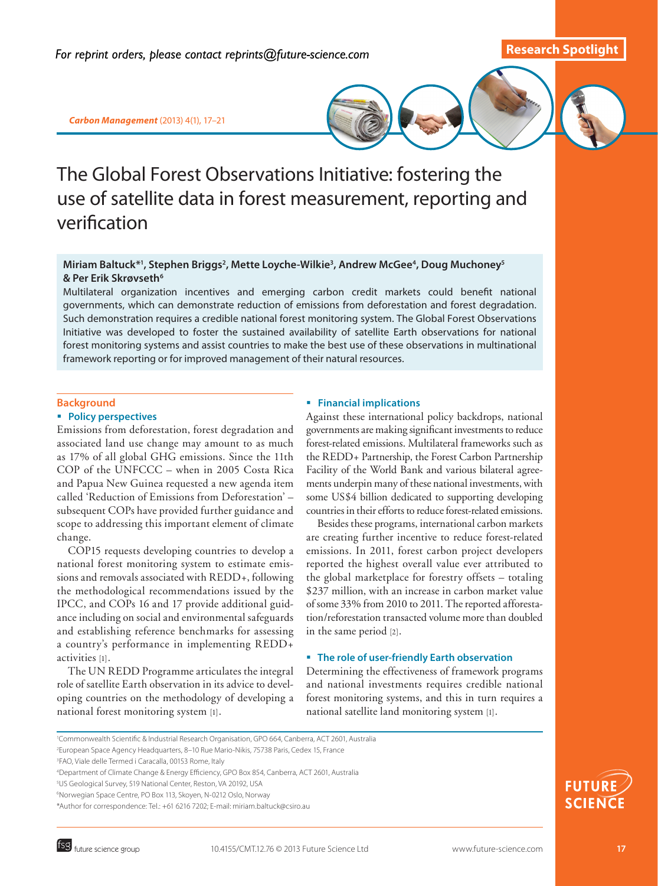*Carbon Management* (2013) 4(1), 17–21

# **Research Spotlight**





The Global Forest Observations Initiative: fostering the use of satellite data in forest measurement, reporting and verification

# **Miriam Baltuck\*1 , Stephen Briggs2 , Mette Loyche-Wilkie3 , Andrew McGee4 , Doug Muchoney5 & Per Erik Skrøvseth6**

Multilateral organization incentives and emerging carbon credit markets could benefit national governments, which can demonstrate reduction of emissions from deforestation and forest degradation. Such demonstration requires a credible national forest monitoring system. The Global Forest Observations Initiative was developed to foster the sustained availability of satellite Earth observations for national forest monitoring systems and assist countries to make the best use of these observations in multinational framework reporting or for improved management of their natural resources.

### **Background**

## **Policy perspectives**

Emissions from deforestation, forest degradation and associated land use change may amount to as much as 17% of all global GHG emissions. Since the 11th COP of the UNFCCC – when in 2005 Costa Rica and Papua New Guinea requested a new agenda item called 'Reduction of Emissions from Deforestation' – subsequent COPs have provided further guidance and scope to addressing this important element of climate change.

COP15 requests developing countries to develop a national forest monitoring system to estimate emissions and removals associated with REDD+, following the methodological recommendations issued by the IPCC, and COPs 16 and 17 provide additional guidance including on social and environmental safeguards and establishing reference benchmarks for assessing a country's performance in implementing REDD+ activities [1].

The UN REDD Programme articulates the integral role of satellite Earth observation in its advice to developing countries on the methodology of developing a national forest monitoring system [1].

## **Financial implications**

Against these international policy backdrops, national governments are making significant investments to reduce forest-related emissions. Multilateral frameworks such as the REDD+ Partnership, the Forest Carbon Partnership Facility of the World Bank and various bilateral agreements underpin many of these national investments, with some US\$4 billion dedicated to supporting developing countries in their efforts to reduce forest-related emissions.

Besides these programs, international carbon markets are creating further incentive to reduce forest-related emissions. In 2011, forest carbon project developers reported the highest overall value ever attributed to the global marketplace for forestry offsets – totaling \$237 million, with an increase in carbon market value of some 33% from 2010 to 2011. The reported afforestation/reforestation transacted volume more than doubled in the same period [2].

## **The role of user-friendly Earth observation**

Determining the effectiveness of framework programs and national investments requires credible national forest monitoring systems, and this in turn requires a national satellite land monitoring system [1].

1 Commonwealth Scientific & Industrial Research Organisation, GPO 664, Canberra, ACT 2601, Australia

2 European Space Agency Headquarters, 8–10 Rue Mario-Nikis, 75738 Paris, Cedex 15, France

3 FAO, Viale delle Termed i Caracalla, 00153 Rome, Italy

- 5 US Geological Survey, 519 National Center, Reston, VA 20192, USA
- 6 Norwegian Space Centre, PO Box 113, Skoyen, N-0212 Oslo, Norway

\*Author for correspondence: Tel.: +61 6216 7202; E-mail: miriam.baltuck@csiro.au



<sup>4</sup> Department of Climate Change & Energy Efficiency, GPO Box 854, Canberra, ACT 2601, Australia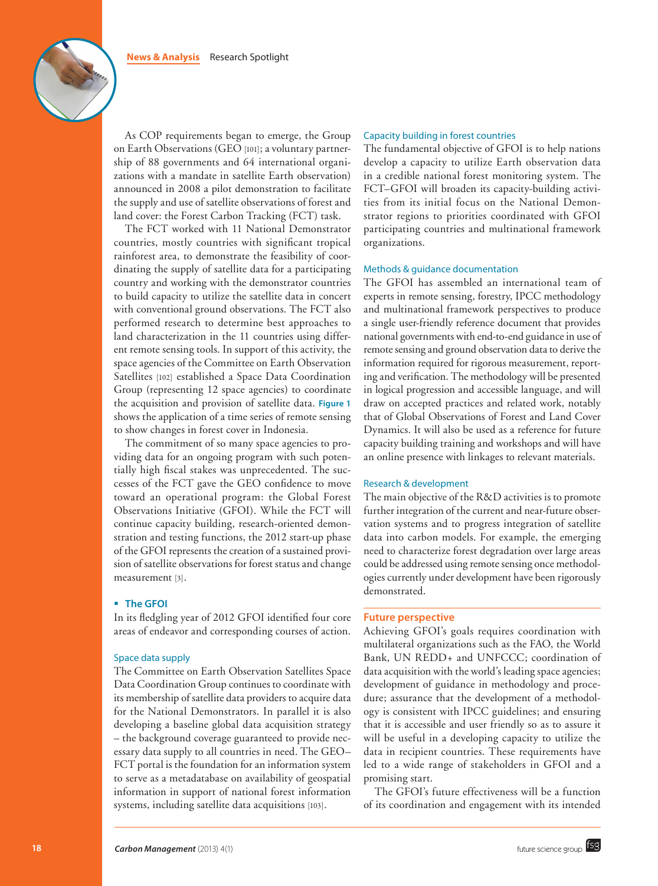

As COP requirements began to emerge, the Group on Earth Observations (GEO [101]; a voluntary partnership of 88 governments and 64 international organizations with a mandate in satellite Earth observation) announced in 2008 a pilot demonstration to facilitate the supply and use of satellite observations of forest and land cover: the Forest Carbon Tracking (FCT) task.

The FCT worked with 11 National Demonstrator countries, mostly countries with significant tropical rainforest area, to demonstrate the feasibility of coordinating the supply of satellite data for a participating country and working with the demonstrator countries to build capacity to utilize the satellite data in concert with conventional ground observations. The FCT also performed research to determine best approaches to land characterization in the 11 countries using different remote sensing tools. In support of this activity, the space agencies of the Committee on Earth Observation Satellites [102] established a Space Data Coordination Group (representing 12 space agencies) to coordinate the acquisition and provision of satellite data. **Figure 1** shows the application of a time series of remote sensing to show changes in forest cover in Indonesia.

The commitment of so many space agencies to providing data for an ongoing program with such potentially high fiscal stakes was unprecedented. The successes of the FCT gave the GEO confidence to move toward an operational program: the Global Forest Observations Initiative (GFOI). While the FCT will continue capacity building, research-oriented demonstration and testing functions, the 2012 start-up phase of the GFOI represents the creation of a sustained provision of satellite observations for forest status and change measurement [3].

## **The GFOI**

In its fledgling year of 2012 GFOI identified four core areas of endeavor and corresponding courses of action.

#### Space data supply

The Committee on Earth Observation Satellites Space Data Coordination Group continues to coordinate with its membership of satellite data providers to acquire data for the National Demonstrators. In parallel it is also developing a baseline global data acquisition strategy – the background coverage guaranteed to provide necessary data supply to all countries in need. The GEO– FCT portal is the foundation for an information system to serve as a metadatabase on availability of geospatial information in support of national forest information systems, including satellite data acquisitions [103].

#### Capacity building in forest countries

The fundamental objective of GFOI is to help nations develop a capacity to utilize Earth observation data in a credible national forest monitoring system. The FCT–GFOI will broaden its capacity-building activities from its initial focus on the National Demonstrator regions to priorities coordinated with GFOI participating countries and multinational framework organizations.

## Methods & guidance documentation

The GFOI has assembled an international team of experts in remote sensing, forestry, IPCC methodology and multinational framework perspectives to produce a single user-friendly reference document that provides national governments with end-to-end guidance in use of remote sensing and ground observation data to derive the information required for rigorous measurement, reporting and verification. The methodology will be presented in logical progression and accessible language, and will draw on accepted practices and related work, notably that of Global Observations of Forest and Land Cover Dynamics. It will also be used as a reference for future capacity building training and workshops and will have an online presence with linkages to relevant materials.

### Research & development

The main objective of the R&D activities is to promote further integration of the current and near-future observation systems and to progress integration of satellite data into carbon models. For example, the emerging need to characterize forest degradation over large areas could be addressed using remote sensing once methodologies currently under development have been rigorously demonstrated.

# **Future perspective**

Achieving GFOI's goals requires coordination with multilateral organizations such as the FAO, the World Bank, UN REDD+ and UNFCCC; coordination of data acquisition with the world's leading space agencies; development of guidance in methodology and procedure; assurance that the development of a methodology is consistent with IPCC guidelines; and ensuring that it is accessible and user friendly so as to assure it will be useful in a developing capacity to utilize the data in recipient countries. These requirements have led to a wide range of stakeholders in GFOI and a promising start.

The GFOI's future effectiveness will be a function of its coordination and engagement with its intended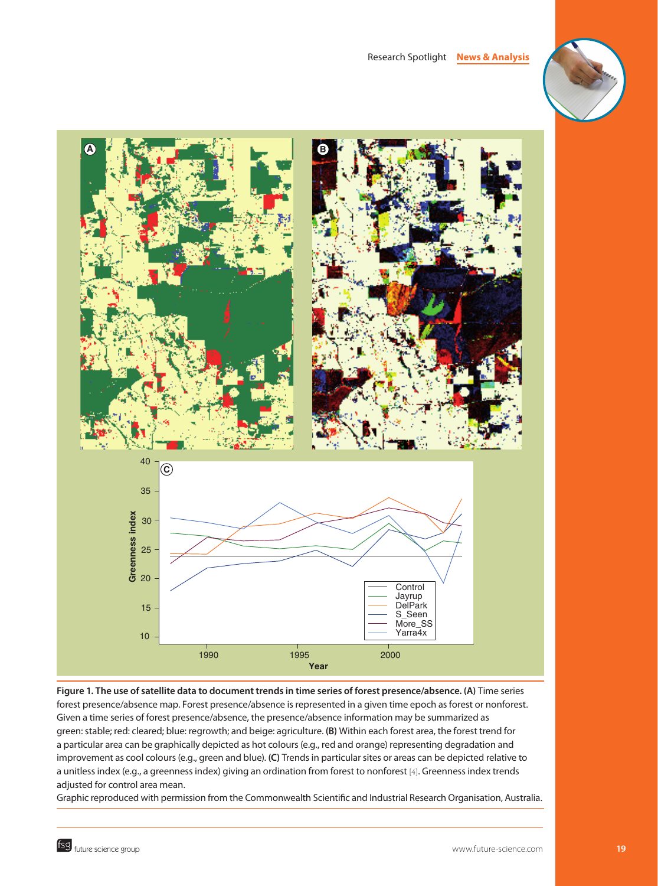



**Figure 1. The use of satellite data to document trends in time series of forest presence/absence. (A)** Time series forest presence/absence map. Forest presence/absence is represented in a given time epoch as forest or nonforest. Given a time series of forest presence/absence, the presence/absence information may be summarized as green: stable; red: cleared; blue: regrowth; and beige: agriculture. **(B)** Within each forest area, the forest trend for a particular area can be graphically depicted as hot colours (e.g., red and orange) representing degradation and improvement as cool colours (e.g., green and blue). **(C)** Trends in particular sites or areas can be depicted relative to a unitless index (e.g., a greenness index) giving an ordination from forest to nonforest [4]. Greenness index trends adjusted for control area mean.

Graphic reproduced with permission from the Commonwealth Scientific and Industrial Research Organisation, Australia.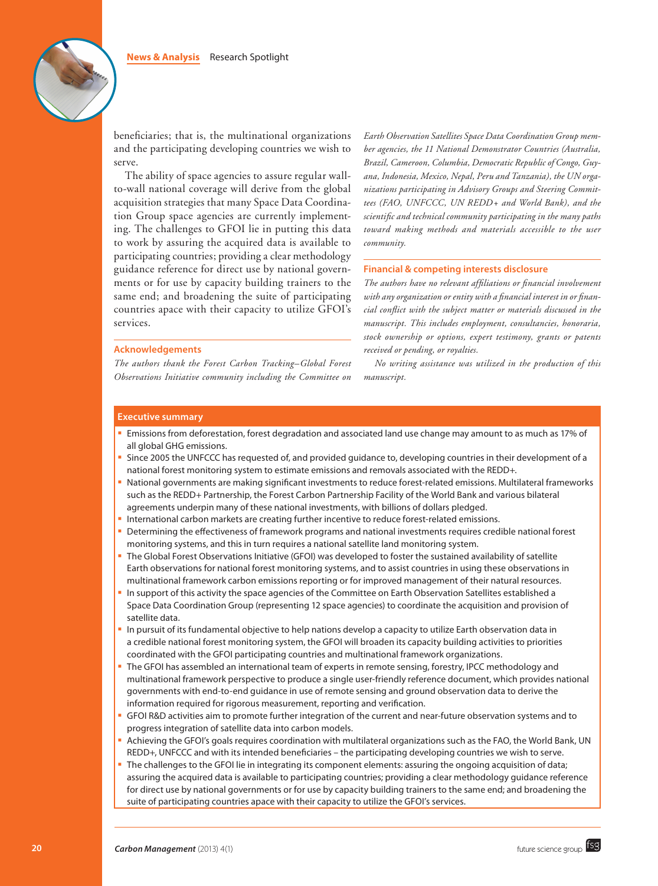



beneficiaries; that is, the multinational organizations and the participating developing countries we wish to serve.

The ability of space agencies to assure regular wallto-wall national coverage will derive from the global acquisition strategies that many Space Data Coordination Group space agencies are currently implementing. The challenges to GFOI lie in putting this data to work by assuring the acquired data is available to participating countries; providing a clear methodology guidance reference for direct use by national governments or for use by capacity building trainers to the same end; and broadening the suite of participating countries apace with their capacity to utilize GFOI's services.

#### **Acknowledgements**

*The authors thank the Forest Carbon Tracking–Global Forest Observations Initiative community including the Committee on* 

*Earth Observation Satellites Space Data Coordination Group member agencies, the 11 National Demonstrator Countries (Australia, Brazil, Cameroon, Columbia, Democratic Republic of Congo, Guyana, Indonesia, Mexico, Nepal, Peru and Tanzania), the UN organizations participating in Advisory Groups and Steering Committees (FAO, UNFCCC, UN REDD+ and World Bank), and the scientific and technical community participating in the many paths toward making methods and materials accessible to the user community.*

#### **Financial & competing interests disclosure**

*The authors have no relevant affiliations or financial involvement with any organization or entity with a financial interest in or financial conflict with the subject matter or materials discussed in the manuscript. This includes employment, consultancies, honoraria, stock ownership or options, expert testimony, grants or patents received or pending, or royalties.* 

*No writing assistance was utilized in the production of this manuscript.* 

### **Executive summary**

- Emissions from deforestation, forest degradation and associated land use change may amount to as much as 17% of all global GHG emissions.
- Since 2005 the UNFCCC has requested of, and provided guidance to, developing countries in their development of a national forest monitoring system to estimate emissions and removals associated with the REDD+.
- National governments are making significant investments to reduce forest-related emissions. Multilateral frameworks such as the REDD+ Partnership, the Forest Carbon Partnership Facility of the World Bank and various bilateral agreements underpin many of these national investments, with billions of dollars pledged.
- International carbon markets are creating further incentive to reduce forest-related emissions.
- Determining the effectiveness of framework programs and national investments requires credible national forest monitoring systems, and this in turn requires a national satellite land monitoring system.
- The Global Forest Observations Initiative (GFOI) was developed to foster the sustained availability of satellite Earth observations for national forest monitoring systems, and to assist countries in using these observations in multinational framework carbon emissions reporting or for improved management of their natural resources.
- In support of this activity the space agencies of the Committee on Earth Observation Satellites established a Space Data Coordination Group (representing 12 space agencies) to coordinate the acquisition and provision of satellite data.
- In pursuit of its fundamental objective to help nations develop a capacity to utilize Earth observation data in a credible national forest monitoring system, the GFOI will broaden its capacity building activities to priorities coordinated with the GFOI participating countries and multinational framework organizations.
- The GFOI has assembled an international team of experts in remote sensing, forestry, IPCC methodology and multinational framework perspective to produce a single user-friendly reference document, which provides national governments with end-to-end guidance in use of remote sensing and ground observation data to derive the information required for rigorous measurement, reporting and verification.
- GFOI R&D activities aim to promote further integration of the current and near-future observation systems and to progress integration of satellite data into carbon models.
- Achieving the GFOI's goals requires coordination with multilateral organizations such as the FAO, the World Bank, UN REDD+, UNFCCC and with its intended beneficiaries – the participating developing countries we wish to serve.
- The challenges to the GFOI lie in integrating its component elements: assuring the ongoing acquisition of data; assuring the acquired data is available to participating countries; providing a clear methodology guidance reference for direct use by national governments or for use by capacity building trainers to the same end; and broadening the suite of participating countries apace with their capacity to utilize the GFOI's services.